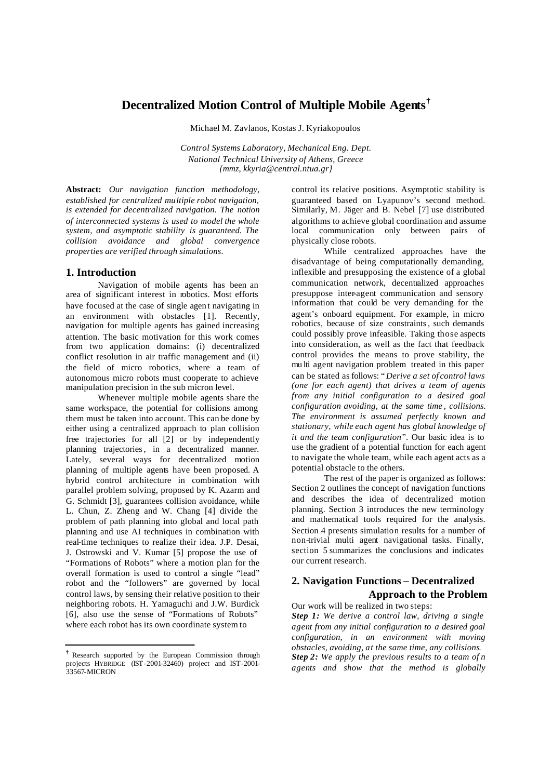# **Decentralized Motion Control of Multiple Mobile Agents†**

Michael M. Zavlanos, Kostas J. Kyriakopoulos

*Control Systems Laboratory, Mechanical Eng. Dept. National Technical University of Athens, Greece {mmz, kkyria@central.ntua.gr}*

**Abstract:** *Our navigation function methodology, established for centralized multiple robot navigation, is extended for decentralized navigation. The notion of interconnected systems is used to model the whole system, and asymptotic stability is guaranteed. The collision avoidance and global convergence properties are verified through simulations.*

## **1. Introduction**

Navigation of mobile agents has been an area of significant interest in robotics. Most efforts have focused at the case of single agent navigating in an environment with obstacles [1]. Recently, navigation for multiple agents has gained increasing attention. The basic motivation for this work comes from two application domains: (i) decentralized conflict resolution in air traffic management and (ii) the field of micro robotics, where a team of autonomous micro robots must cooperate to achieve manipulation precision in the sub micron level.

Whenever multiple mobile agents share the same workspace, the potential for collisions among them must be taken into account. This can be done by either using a centralized approach to plan collision free trajectories for all [2] or by independently planning trajectories, in a decentralized manner. Lately, several ways for decentralized motion planning of multiple agents have been proposed. A hybrid control architecture in combination with parallel problem solving, proposed by K. Azarm and G. Schmidt [3], guarantees collision avoidance, while L. Chun, Z. Zheng and W. Chang [4] divide the problem of path planning into global and local path planning and use AI techniques in combination with real-time techniques to realize their idea. J.P. Desai, J. Ostrowski and V. Kumar [5] propose the use of "Formations of Robots" where a motion plan for the overall formation is used to control a single "lead" robot and the "followers" are governed by local control laws, by sensing their relative position to their neighboring robots. H. Yamaguchi and J.W. Burdick [6], also use the sense of "Formations of Robots" where each robot has its own coordinate system to

control its relative positions. Asymptotic stability is guaranteed based on Lyapunov's second method. Similarly, M. Jäger and B. Nebel [7] use distributed algorithms to achieve global coordination and assume local communication only between pairs of physically close robots.

While centralized approaches have the disadvantage of being computationally demanding, inflexible and presupposing the existence of a global communication network, decentralized approaches presuppose inter-agent communication and sensory information that could be very demanding for the agent's onboard equipment. For example, in micro robotics, because of size constraints, such demands could possibly prove infeasible. Taking those aspects into consideration, as well as the fact that feedback control provides the means to prove stability, the mu lti agent navigation problem treated in this paper can be stated as follows: "*Derive a set of control laws (one for each agent) that drives a team of agents from any initial configuration to a desired goal configuration avoiding, at the same time , collisions. The environment is assumed perfectly known and stationary, while each agent has global knowledge of it and the team configuration*". Our basic idea is to use the gradient of a potential function for each agent to navigate the whole team, while each agent acts as a potential obstacle to the others.

The rest of the paper is organized as follows: Section 2 outlines the concept of navigation functions and describes the idea of decentralized motion planning. Section 3 introduces the new terminology and mathematical tools required for the analysis. Section 4 presents simulation results for a number of non-trivial multi agent navigational tasks. Finally, section 5 summarizes the conclusions and indicates our current research.

# **2. Navigation Functions – Decentralized Approach to the Problem**

Our work will be realized in two steps: *Step 1: We derive a control law, driving a single agent from any initial configuration to a desired goal configuration, in an environment with moving obstacles, avoiding, at the same time, any collisions. Step 2: We apply the previous results to a team of n agents and show that the method is globally*

**<sup>†</sup>** Research supported by the European Commission through projects HYBRIDGE (IST-2001-32460) project and IST-2001- 33567-MICRON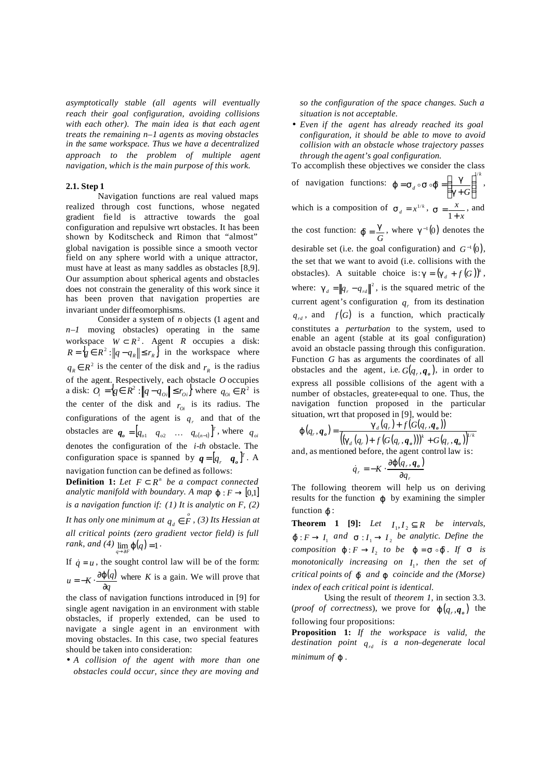*asymptotically stable (all agents will eventually reach their goal configuration, avoiding collisions with each other). The main idea is that each agent treats the remaining n–1 agents as moving obstacles in the same workspace. Thus we have a decentralized approach to the problem of multiple agent navigation, which is the main purpose of this work.*

### **2.1. Step 1**

Navigation functions are real valued maps realized through cost functions, whose negated gradient fie ld is attractive towards the goal configuration and repulsive wrt obstacles. It has been shown by Koditscheck and Rimon that "almost" global navigation is possible since a smooth vector field on any sphere world with a unique attractor, must have at least as many saddles as obstacles [8,9]. Our assumption about spherical agents and obstacles does not constrain the generality of this work since it has been proven that navigation properties are invariant under diffeomorphisms.

Consider a system of *n* objects (1 agent and *n–1* moving obstacles) operating in the same workspace  $W \subset R^2$ . Agent *R* occupies a disk:  $R = \{ q \in \mathbb{R}^2 : ||q - q_R|| \le r_R \}$  in the workspace where  $q<sub>R</sub> ∈ R<sup>2</sup>$  is the center of the disk and  $r<sub>R</sub>$  is the radius of the agent. Respectively, each obstacle *O* occupies a disk:  $Q_i = \{q \in R^2 : ||q - q_{0i}|| \le r_{0i}\}$  where  $q_{0i} \in R^2$  is the center of the disk and  $r_{0i}$  is its radius. The configurations of the agent is  $q<sub>r</sub>$  and that of the obstacles are  $q_o = [q_o_1 \quad q_o_2 \quad \dots \quad q_{o(n-1)}]^T$ , where  $q_o$ denotes the configuration of the *i-th* obstacle. The configuration space is spanned by  $q = [q_r \ q_o]^T$ . A navigation function can be defined as follows:

**Definition 1:** Let  $F \subset R^n$  be a compact connected *analytic manifold with boundary. A map*  $\mathbf{i}$  :  $F \rightarrow [0,1]$ *is a navigation function if: (1) It is analytic on F, (2) It has only one minimum at*  $q_d \in \overset{\circ}{F}$  *, (3) Its Hessian at all critical points (zero gradient vector field) is full rank, and* (4)  $\lim_{q \to \partial F} j(q) = 1$ .

If  $\dot{q} = u$ , the sought control law will be of the form:  $(q)$ *q*  $u = -K \cdot \frac{\partial j}{\partial q}$  $=-K \cdot \frac{\partial j(q)}{\partial q}$  where *K* is a gain. We will prove that

the class of navigation functions introduced in [9] for single agent navigation in an environment with stable obstacles, if properly extended, can be used to navigate a single agent in an environment with moving obstacles. In this case, two special features should be taken into consideration:

• *A collision of the agent with more than one obstacles could occur, since they are moving and* 

*so the configuration of the space changes. Such a situation is not acceptable.*

• *Even if the agent has already reached its goal configuration, it should be able to move to avoid collision with an obstacle whose trajectory passes through the agent's goal configuration.*

To accomplish these objectives we consider the class of navigation functions:  $\mathbf{i} = \mathbf{s} \cdot \mathbf{s} \cdot \mathbf{f} = \left(\frac{\mathbf{g}}{\mathbf{s}}\right)^{1/k}$  $d \circ S$ <sup>*g*</sup>  $-\left| \frac{g+G}{g+G} \right|$ 1/  $\hat{r} = \left| \frac{\delta}{\sigma + G} \right|$  $\big)$  $\left( \right)$ I l ſ  $=$ **s**<sub>d</sub>  $\circ$ **s**  $\circ$ **j**  $=$   $\left| \frac{5}{g+1} \right|$  $\boldsymbol{j} = \mathbf{S}_d \circ \mathbf{S} \circ \boldsymbol{j} = \left( \begin{array}{c} \mathbf{g} \\ \hline \mathbf{g} \\ \hline \mathbf{g} \end{array} \right)^n,$ which is a composition of  $\mathbf{s}_d = x^{1/k}$ , *x x*  $\mathbf{s} = \frac{x}{1+x}$ , and the cost function: *G*  $\hat{\mathbf{j}} = \frac{\mathbf{g}}{g}$ , where  $\mathbf{g}^{-1}(0)$  denotes the desirable set (i.e. the goal configuration) and  $G^{-1}(0)$ , the set that we want to avoid (i.e. collisions with the obstacles). A suitable choice is:  $g = (g_d + f(G))^k$ , where:  $\mathbf{g}_d = ||q_r - q_{rd}||^2$ , is the squared metric of the current agent's configuration  $q_r$  from its destination  $q_{rd}$ , and  $f(G)$  is a function, which practically constitutes a *perturbation* to the system, used to enable an agent (stable at its goal configuration) avoid an obstacle passing through this configuration. Function *G* has as arguments the coordinates of all obstacles and the agent, i.e.  $G(q_r, \boldsymbol{q}_o)$ , in order to express all possible collisions of the agent with a number of obstacles, greater-equal to one. Thus, the navigation function proposed in the particular situation, wrt that proposed in [9], would be:

$$
\boldsymbol{j}(q_r, \boldsymbol{q}_o) = \frac{\boldsymbol{g}_d(q_r) + f(G(q_r, \boldsymbol{q}_o))}{\left( \left( \boldsymbol{g}_d(q_r) + f(G(q_r, \boldsymbol{q}_o)) \right)^k + G(q_r, \boldsymbol{q}_o) \right)^{1/k}}
$$
  
and, as mentioned before, the agent control law is:

$$
\dot{q}_r = -K \cdot \frac{\partial \boldsymbol{j} (q_r, \boldsymbol{q}_o)}{\partial q_r}
$$

The following theorem will help us on deriving results for the function *j* by examining the simpler function  $\hat{\mathbf{r}}$  :

**Theorem 1 [9]:** *Let*  $I_1, I_2 \subseteq R$  *be intervals,*  $\mathbf{f}: F \to I_1$  and  $\mathbf{s}: I_1 \to I_2$  be analytic. Define the *composition*  $j: F \to I$ <sup>2</sup> *to be*  $j = s \circ f$ *. If s is monotonically increasing on* <sup>1</sup> *I , then the set of critical points of j*ˆ *and j coincide and the (Morse) index of each critical point is identical.*

Using the result of *theorem 1*, in section 3.3. (*proof of correctness*), we prove for  $\mathbf{j}$  ( $q_r, \mathbf{q}_o$ ) the following four propositions:

**Proposition 1:** *If the workspace is valid, the destination point qrd is a non–degenerate local minimum of j .*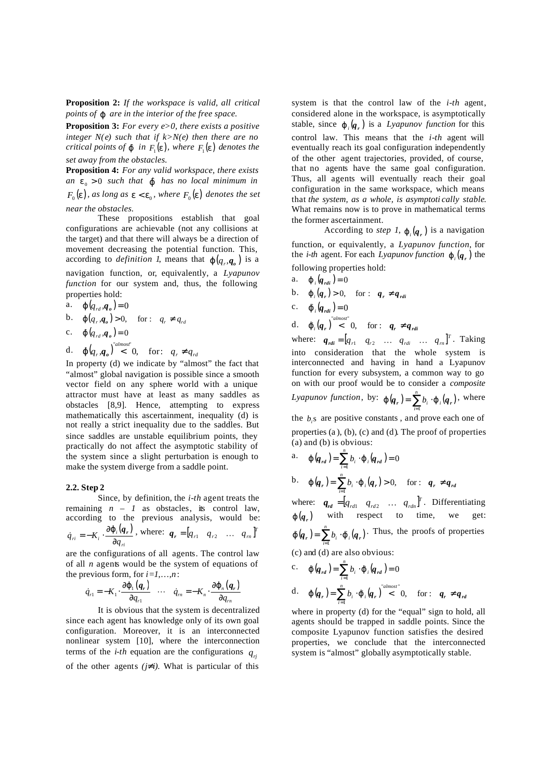**Proposition 2:** *If the workspace is valid, all critical points of j are in the interior of the free space.*

**Proposition 3:** *For every e>0, there exists a positive integer N(e)* such that if  $k > N(e)$  then there are no *critical points of*  $\boldsymbol{f}$  *in*  $F_{1}(\boldsymbol{e})$ *, where*  $F_{1}(\boldsymbol{e})$  *denotes the set away from the obstacles.*

**Proposition 4:** *For any valid workspace, there exists an*  $e_0 > 0$  *such that j has no local minimum in*  $F_0(\mathbf{e})$ , as long as  $\mathbf{e} < \mathbf{e}_0$ , where  $F_0(\mathbf{e})$  denotes the set *near the obstacles.*

These propositions establish that goal configurations are achievable (not any collisions at the target) and that there will always be a direction of movement decreasing the potential function. This, according to *definition 1*, means that  $\mathbf{j}$   $(q_r, \mathbf{q}_o)$  is a navigation function, or, equivalently, a *Lyapunov function* for our system and, thus, the following properties hold:

a.  $j(q_{rd}, q_o) = 0$ 

b.  $\mathbf{j}(q_r, q_o) > 0$ , for :  $q_r \neq q_{rd}$ 

$$
c. \quad \boldsymbol{j} (q_{rd}, \boldsymbol{q}_o) = 0
$$

d.  $\boldsymbol{j} (q_r, \boldsymbol{q}_o)^{ralmost}$  6, for:  $q_r \neq q_{rd}$ 

In property (d) we indicate by "almost" the fact that "almost" global navigation is possible since a smooth vector field on any sphere world with a unique attractor must have at least as many saddles as obstacles [8,9]. Hence, attempting to express mathematically this ascertainment, inequality (d) is not really a strict inequality due to the saddles. But since saddles are unstable equilibrium points, they practically do not affect the asymptotic stability of the system since a slight perturbation is enough to make the system diverge from a saddle point.

#### **2.2. Step 2**

Since, by definition, the *i-th* agent treats the remaining  $n - 1$  as obstacles, its control law, according to the previous analysis, would be:  $(q_{r})$ *ri*  $\dot{q}_n = -K_i \cdot \frac{\partial J_i}{\partial q}$  $\dot{q}_r = -K_i \cdot \frac{\partial \dot{J}_i(\boldsymbol{q}_r)}{\partial x}$ , where:  $\boldsymbol{q}_r = \begin{bmatrix} q_{r1} & q_{r2} & \dots & q_{rn} \end{bmatrix}^T$ 

are the configurations of all agents. The control law of all *n* agents would be the system of equations of the previous form, for  $i=1,...,n$ :

$$
\dot{q}_{r1} = -K_1 \cdot \frac{\partial \boldsymbol{j}_1(\boldsymbol{q}_r)}{\partial q_{r1}} \quad \cdots \quad \dot{q}_m = -K_n \cdot \frac{\partial \boldsymbol{j}_n(\boldsymbol{q}_r)}{\partial q_{rn}}
$$

It is obvious that the system is decentralized since each agent has knowledge only of its own goal configuration. Moreover, it is an interconnected nonlinear system [10], where the interconnection terms of the *i-th* equation are the configurations  $q_{ri}$ of the other agents  $(j\neq i)$ . What is particular of this

system is that the control law of the *i-th* agent, considered alone in the workspace, is asymptotically stable, since  $\mathbf{j}_i(\mathbf{q}_r)$  is a *Lyapunov function* for this control law. This means that the *i-th* agent will eventually reach its goal configuration independently of the other agent trajectories, provided, of course, that no agents have the same goal configuration. Thus, all agents will eventually reach their goal configuration in the same workspace, which means that *the system, as a whole, is asymptoti cally stable*. What remains now is to prove in mathematical terms the former ascertainment.

According to *step 1*,  $\mathbf{j}_i(\mathbf{q}_r)$  is a navigation function, or equivalently, a *Lyapunov function*, for the *i-th* agent. For each *Lyapunov function*  $\mathbf{j}_i(\mathbf{q}_r)$  the

following properties hold:  
\na. 
$$
j_i(q_{rdi}) = 0
$$
  
\nb.  $j_i(q_r) > 0$ , for :  $q_r \neq q_{rdi}$   
\nc.  $j_i(q_{rdi}) = 0$   
\nd.  $j_i(q_r) < 0$ , for :  $q_r \neq q_{rdi}$   
\nwhere:  $q_r = [q_r, q_r, q_r]$ 

where:  $q_{rdi} = [q_{r1} \quad q_{r2} \quad \dots \quad q_{rdi} \quad \dots \quad q_{rn}]^T$ . Taking into consideration that the whole system is interconnected and having in hand a Lyapunov function for every subsystem, a common way to go on with our proof would be to consider a *composite Lyapunov function*, by:  $\boldsymbol{j}(\boldsymbol{q}_r) = \sum_{i=1}^n b_i \cdot \boldsymbol{j}_i(\boldsymbol{q}_r)$ *j*  $(q_r) = \sum_{i=1}^{n} b_i \cdot j_i(q_r)$ , where the  $b_i$ s are positive constants, and prove each one of properties (a ), (b), (c) and (d). The proof of properties (a) and (b) is obvious:

a. 
$$
\boldsymbol{j} (q_{rd}) = \sum_{i=1}^{n} b_i \cdot \boldsymbol{j} (q_{rd}) = 0
$$
  
\nb.  $\boldsymbol{j} (q_r) = \sum_{i=1}^{n} b_i \cdot \boldsymbol{j} (q_r) > 0$ , for:  $q_r \neq q_{rd}$ 

where:  $q_{rd} = [q_{rd1} \quad q_{rd2} \quad \dots \quad q_{rdn}]^T$ . Differentiating  $j(q_r)$  with respect to time, we get:  $(q_r) = \sum_{i=1}^{n} b_i \cdot \mathbf{f}_i(q_r)$  $\boldsymbol{j}(\boldsymbol{q}_r) = \sum_{i=1}^n b_i \cdot \boldsymbol{j}_i(\boldsymbol{q}_r)$ . Thus, the proofs of properties (c) and (d) are also obvious:

c. 
$$
\mathbf{j}(q_{rd}) = \sum_{i=1}^{n} b_i \cdot \mathbf{j}_i(q_{rd}) = 0
$$
  
d.  $\mathbf{j}(q_r) = \sum_{i=1}^{n} b_i \cdot \mathbf{j}_i(q_r)^{\text{``almost''}}$   
0, for:  $q_r \neq q_{rd}$ 

where in property (d) for the "equal" sign to hold, all agents should be trapped in saddle points. Since the composite Lyapunov function satisfies the desired properties, we conclude that the interconnected system is "almost" globally asymptotically stable.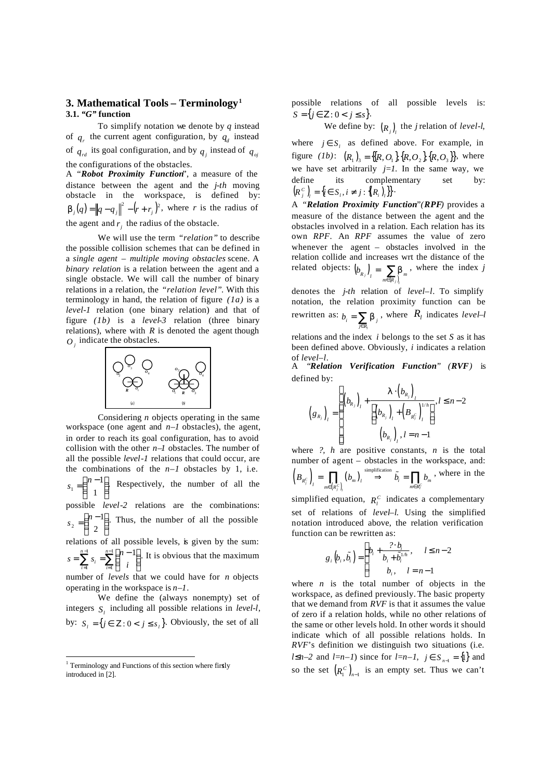## **3. Mathematical Tools – Terminology<sup>1</sup> 3.1.** *"G"* **function**

To simplify notation we denote by *q* instead of  $q_r$  the current agent configuration, by  $q_d$  instead of  $q_{rd}$  its goal configuration, and by  $q_j$  instead of  $q_{oj}$ the configurations of the obstacles.

A "*Robot Proximity Function*", a measure of the distance between the agent and the *j-th* moving obstacle in the workspace, is defined by:  $\boldsymbol{b}_j(q) = ||q - q_j||^2 - (r + r_j)^2$ , where *r* is the radius of the agent and  $r_j$  the radius of the obstacle.

We will use the term *"relation"* to describe the possible collision schemes that can be defined in a *single agent – multiple moving obstacles* scene. A *binary relation* is a relation between the agent and a single obstacle. We will call the number of binary relations in a relation, the *"relation level"*. With this terminology in hand, the relation of figure *(1a)* is a *level-1* relation (one binary relation) and that of figure *(1b)* is a *level-3* relation (three binary relations), where with  $R$  is denoted the agent though  $O<sub>j</sub>$  indicate the obstacles.



Considering *n* objects operating in the same workspace (one agent and *n–1* obstacles), the agent, in order to reach its goal configuration, has to avoid collision with the other *n–1* obstacles. The number of all the possible *level-1* relations that could occur, are the combinations of the  $n-1$  obstacles by 1, i.e.  $\overline{1}$  $\lambda$ I l  $=\binom{n-1}{1}$ 1 1  $s_1 = \binom{n-1}{n}$  Respectively, the number of all the possible *level-2* relations are the combinations: l  $\overline{1}$ Ì I l  $=\binom{n-2}{}$ 1 2  $s_1 = \binom{n-1}{s}$ . Thus, the number of all the possible

relations of all possible levels, is given by the sum:  $\sum^{n-1} s_i = \sum^{n-1}$ = −  $\sum_{i=1}^{n} s_i = \sum_{i=1}^{n} \binom{n-1}{i}$  $\overline{1}$ Ì I l  $=\sum_{i=1}^{n-1} s_i = \sum_{i=1}^{n-1} \binom{n-1}{i}$ 1 1 1  $\sum_{n=1}^{n-1} (n-1)$ *i n*  $\sum_{i=1}^{\infty}$ <sup>3</sup><sub>*i*</sub> =  $\sum_{i=1}^{\infty}$  *i*  $s = \sum_{i=1}^{n-1} s_i = \sum_{i=1}^{n-1} {n-1}$ . It is obvious that the maximum

number of *levels* that we could have for *n* objects operating in the workspace is *n–1*.

We define the (always nonempty) set of integers  $S_l$  including all possible relations in *level-l*, by:  $S_i = \{ j \in \mathbb{Z} : 0 < j \leq s_i \}$ . Obviously, the set of all

possible relations of all possible levels is:  $S = \{ j \in \mathbb{Z} : 0 < j \leq s \}.$ 

We define by:  $(R_j)$ <sub>*l*</sub> the *j* relation of *level-l*,

where  $j \in S_i$  as defined above. For example, in figure  $(lb)$ :  $(R_1)_3 = \{[R, O_1], \{R, O_2\}, \{R, O_3\}\}\$ , where we have set arbitrarily  $j=1$ . In the same way, we define its complementary set by:  $(R_j^c)$ <sub>*l*</sub> = {*i*  $\in S_i$ *, i*  $\neq j$  : { $(R_i)$ <sub>*l*</sub>}}<sup>}</sup>.

A *"Relation Proximity Function"(RPF)* provides a measure of the distance between the agent and the obstacles involved in a relation. Each relation has its own *RPF*. An *RPF* assumes the value of zero whenever the agent – obstacles involved in the relation collide and increases wrt the distance of the related objects:  $(b_{p})$  $=\sum_{m\in\{R_i\}}$  $\left( b_{R_j} \right)_l = \sum_{m \in (R_j)_l} b_m$ , where the index *j* 

denotes the *j-th* relation of *level–l*. To simplify notation, the relation proximity function can be rewritten as:  $b_i = \sum_{j \in R_i}$  $b_i = \sum_{j \in R_i} b_j$ , where  $R_i$  indicates *level–l* 

relations and the index *i* belongs to the set *S* as it has been defined above. Obviously, *i* indicates a relation of *level–l*.

A *"Relation Verification Function" (RVF)* is defined by:

$$
(g_{R_j})_l = \begin{cases} (b_{R_j})_l + \frac{I \cdot (b_{R_j})_l}{\left[ (b_{R_j})_l + (B_{R_j^c})_l^{1/h} \right]}, l \leq n-2 \\ (b_{R_j})_l, l = n-1 \end{cases}
$$

where *?, h* are positive constants, *n* is the total number of agent – obstacles in the workspace, and:  $\left( B_{R_{j}^{C}}\right) _{l}=\prod_{m\in\left( R_{j}^{C}\right) _{l}}\left( b_{m}\right) _{l}$ simplification  $\sum_{j}^{C}$   $\int_{l}^{L}$   $\frac{1}{m \in (R_{j}^{C})_{l}}$   $\frac{1}{m}$   $\frac{1}{m}$   $\frac{1}{m}$   $\frac{1}{m}$  $R_j^C$   $\Big|_l = \prod_{m \in \{R_i^C\}} (b_m)_l \longrightarrow b_i = \prod_{m \in R_i^C} b_m$  $B_{p^c}$  =  $\iint (b_m)_i \implies b_i = \iint b$  $=\prod_{m\in\{R_i^C\}}(b_m)_l \stackrel{\text{simplication}}{\Rightarrow} \tilde{b}_i = \prod_{m\in R_i^C} b_m$ , where in the

simplified equation,  $R_l^C$  indicates a complementary set of relations of *level–l*. Using the simplified notation introduced above, the relation verification function can be rewritten as:

$$
g_i\left(b_i, \tilde{b}_i\right) = \begin{cases} b_i + \frac{? \cdot b_i}{b_i + \tilde{b}_i^{1/n}}, & l \leq n-2 \\ b_i, & l = n-1 \end{cases}
$$

where  $n$  is the total number of objects in the workspace, as defined previously. The basic property that we demand from *RVF* is that it assumes the value of zero if a relation holds, while no other relations of the same or other levels hold. In other words it should indicate which of all possible relations holds. In *RVF*'s definition we distinguish two situations (i.e. *l*≤*n*−2 and *l*=*n*−*l*) since for *l*=*n*−*l*, *j* ∈ *S*<sub>*n*−1</sub> = {1} and so the set  $(R_1^C)_{n-1}$  is an empty set. Thus we can't

<sup>&</sup>lt;sup>1</sup> Terminology and Functions of this section where firstly introduced in [2].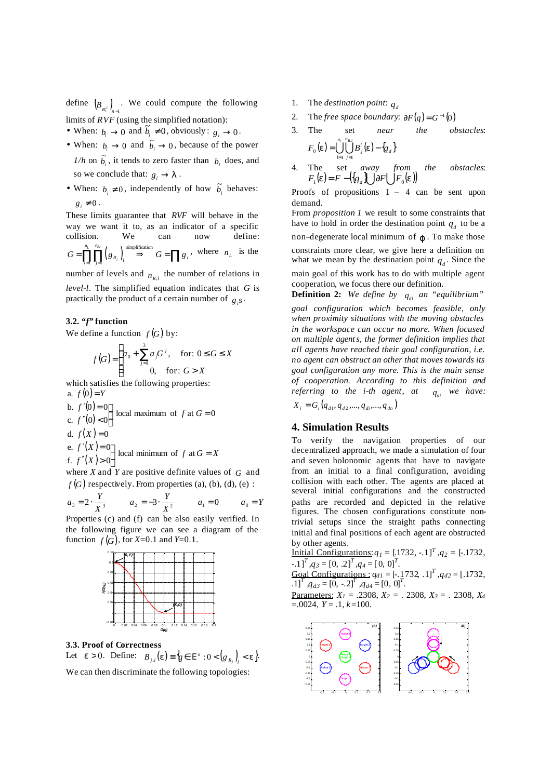define  $(B_{R_1^c})_{n-1}$ . We could compute the following limits of *RVF* (using the simplified notation):

- When:  $b_i \rightarrow 0$  and  $\tilde{b}_i \neq 0$ , obviously:  $g_i \rightarrow 0$ .
- When:  $b_i \rightarrow 0$  and  $\tilde{b}_i \rightarrow 0$ , because of the power  $1/h$  on  $\tilde{b}_i$ , it tends to zero faster than  $b_i$  does, and so we conclude that:  $g_i \rightarrow I$ .
- When:  $b_i \neq 0$ , independently of how  $\tilde{b}_i$  behaves:  $g_i \neq 0$ .

These limits guarantee that *RVF* will behave in the way we want it to, as an indicator of a specific collision. We can now define:  $(g_{R_i})$  simplification  $-1$   $j=1$ *L R,l n n*  $G = \prod_{l=1}^{\infty} \prod_{j=1}^{\infty} (g_{R_j})_l \stackrel{\text{symputation}}{\Rightarrow} G = \prod g_i$ , where  $n_L$  is the

number of levels and  $n_{R,l}$  the number of relations in *level-l*. The simplified equation indicates that *G* is practically the product of a certain number of  $g_i$ s.

### **3.2.** *"f"* **function**

We define a function  $f(G)$  by:

$$
f(G) = \begin{cases} a_0 + \sum_{j=1}^{3} a_j G^j, & \text{for: } 0 \le G \le X \\ 0, & \text{for: } G > X \end{cases}
$$

which satisfies the following properties: a.  $f(0) = Y$ 

 $(0)$  $f'(0) < 0$  local maximum of f at G d.  $f(X) = 0$  $(X)$  $f'(X) > 0$  local minimum of f at  $G = X$  $f'(X) = 0$  local minimum of f at  $G =$  $f'(0) = 0$  local maximum of f at  $G = f'(0)$ ∫  $\mathbf{I}$  $\mathcal{I}(X)$ e.  $f'(X) = 0$  local minimum of f at  $f(x) > 0$ ∫  $\mathbf{I}$  $'(0)$  < b.  $f'(0)=0$  local maximum of f at  $G=0$ <br>c.  $f''(0) < 0$ e.  $f'(X) = 0$ b.  $f'(0) = 0$ 

where *X* and *Y* are positive definite values of *G* and  $f(G)$  respectively. From properties (a), (b), (d), (e) :

$$
a_3 = 2 \cdot \frac{Y}{X^3}
$$
  $a_2 = -3 \cdot \frac{Y}{X^2}$   $a_1 = 0$   $a_0 = Y$ 

Propertie s (c) and (f) can be also easily verified. In the following figure we can see a diagram of the function  $f(G)$ , for  $X=0.1$  and  $Y=0.1$ .



#### **3.3. Proof of Correctness**

Let  $e > 0$ . Define:  $B_{j,l}(e) \equiv \{ q \in E^n : 0 < (g_{R_j}) \} < e \}$ .

We can then discriminate the following topologies:

- 1. The *destination point*:  $q_d$
- 2. The *free space boundary:*  $\partial F(q) = G^{-1}(0)$
- 3. The set *near the obstacles*:  $\hat{a}(\mathbf{e}) = \bigcup^{n_L} \bigcup^{n_{R,l}} B^l_{j}(\mathbf{e}) - \{q_{d}\}\$ *l n j*  $F_0(e) = \bigcup_{i=1}^{n_L} \bigcup_{i=1}^{n_{R,i}} B^i_j(e) - \{q\}$  $\sum_{l=1}^{n} (e) = \bigcup_{l=1}^{n} \bigcup_{j=1}^{n}$ , *e e*
- 4. The set *away from the obstacles*:  $F_1(\mathbf{e}) = F - (\{q_a\} \bigcup \partial F \bigcup F_0(\mathbf{e}))$

Proofs of propositions 1 – 4 can be sent upon demand.

From *proposition 1* we result to some constraints that have to hold in order the destination point  $q_d$  to be a non–degenerate local minimum of *j* . To make those constraints more clear, we give here a definition on what we mean by the destination point  $q_d$ . Since the main goal of this work has to do with multiple agent cooperation, we focus there our definition.

**Definition 2:** We define by  $q_{di}$  an "equilibrium" *goal configuration which becomes feasible, only when proximity situations with the moving obstacles in the workspace can occur no more. When focused on multiple agents, the former definition implies that all agents have reached their goal configuration, i.e. no agent can obstruct an other that moves towards its goal configuration any more. This is the main sense of cooperation. According to this definition and referring to the i-th agent, at*  $q_{di}$  we have:

 $X_i = G_i(q_{d1}, q_{d2}, ..., q_{di}, ..., q_{dn})$ 

## **4. Simulation Results**

To verify the navigation properties of our decentralized approach, we made a simulation of four and seven holonomic agents that have to navigate from an initial to a final configuration, avoiding collision with each other. The agents are placed at several initial configurations and the constructed paths are recorded and depicted in the relative figures. The chosen configurations constitute nontrivial setups since the straight paths connecting initial and final positions of each agent are obstructed by other agents.

Initial Configurations:*q1* = [.1732, -.1] *T ,q2* = [-.1732, -.1] *T ,q3* = [0, .2] *T ,q4* = [ 0, 0] *T* . *T*

**Goal Configurations:** 
$$
q_{d1} = [-1732, 1]^T
$$
,  $q_{d2} = [.1732, 1]^T$ ,  $q_{d3} = [0, -2]^T$ ,  $q_{d4} = [0, 0]^T$ .

Parameters: *X1* = .2308, *X2* = . 2308, *X3* = . 2308, *X<sup>4</sup>*  $=0.0024, Y = .1, k=100.$